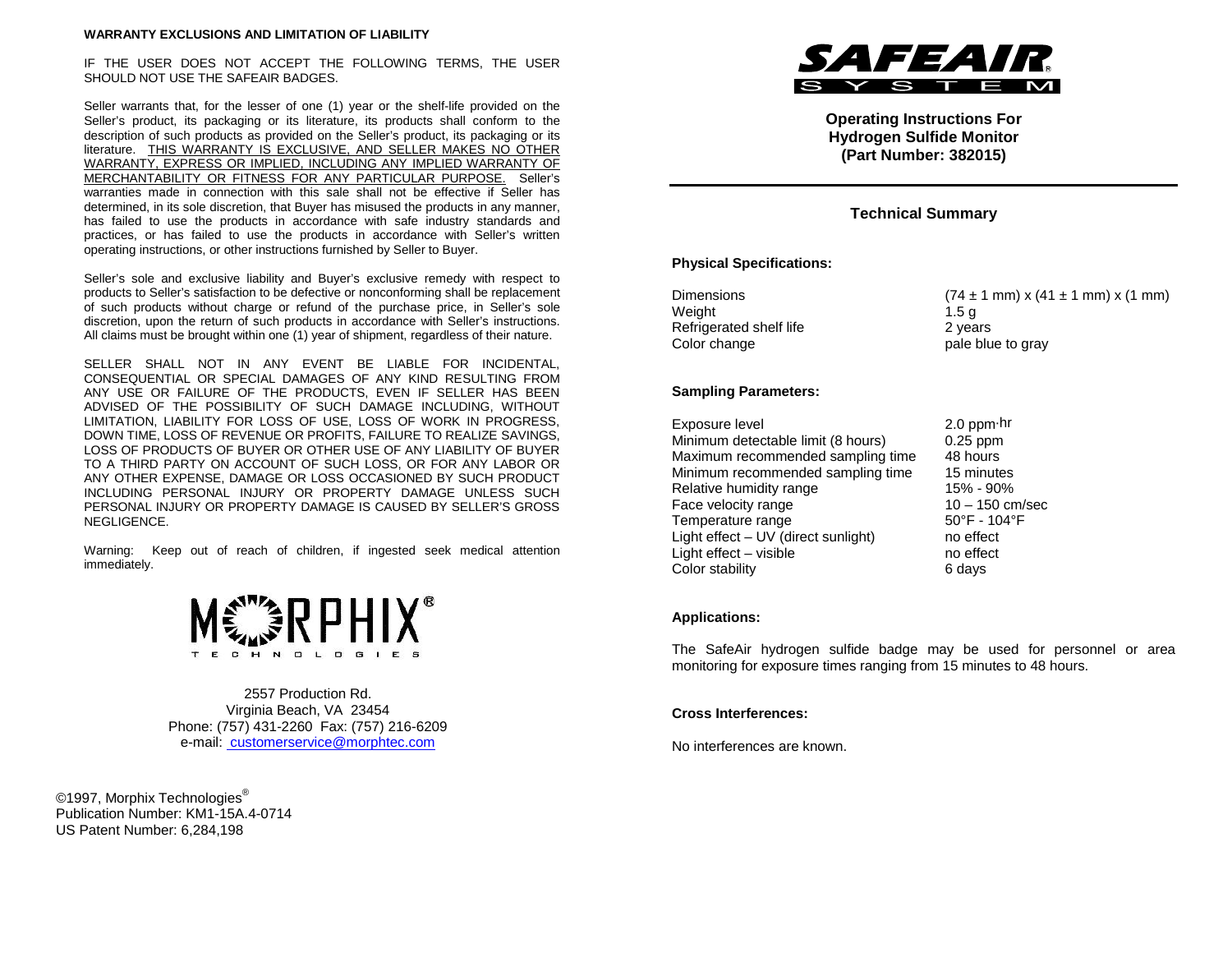#### **WARRANTY EXCLUSIONS AND LIMITATION OF LIABILITY**

IF THE USER DOES NOT ACCEPT THE FOLLOWING TERMS, THE USER SHOULD NOT USE THE SAFEAIR BADGES.

Seller warrants that, for the lesser of one (1) year or the shelf-life provided on the Seller's product, its packaging or its literature, its products shall conform to the description of such products as provided on the Seller's product, its packaging or its literature. THIS WARRANTY IS EXCLUSIVE, AND SELLER MAKES NO OTHER WARRANTY, EXPRESS OR IMPLIED, INCLUDING ANY IMPLIED WARRANTY OF MERCHANTABILITY OR FITNESS FOR ANY PARTICULAR PURPOSE. Seller's warranties made in connection with this sale shall not be effective if Seller has determined, in its sole discretion, that Buyer has misused the products in any manner, has failed to use the products in accordance with safe industry standards and practices, or has failed to use the products in accordance with Seller's written operating instructions, or other instructions furnished by Seller to Buyer.

Seller's sole and exclusive liability and Buyer's exclusive remedy with respect to products to Seller's satisfaction to be defective or nonconforming shall be replacement of such products without charge or refund of the purchase price, in Seller's sole discretion, upon the return of such products in accordance with Seller's instructions. All claims must be brought within one (1) year of shipment, regardless of their nature.

SELLER SHALL NOT IN ANY EVENT BE LIABLE FOR INCIDENTAL, CONSEQUENTIAL OR SPECIAL DAMAGES OF ANY KIND RESULTING FROM ANY USE OR FAILURE OF THE PRODUCTS, EVEN IF SELLER HAS BEEN ADVISED OF THE POSSIBILITY OF SUCH DAMAGE INCLUDING, WITHOUT LIMITATION, LIABILITY FOR LOSS OF USE, LOSS OF WORK IN PROGRESS, DOWN TIME, LOSS OF REVENUE OR PROFITS, FAILURE TO REALIZE SAVINGS, LOSS OF PRODUCTS OF BUYER OR OTHER USE OF ANY LIABILITY OF BUYER TO A THIRD PARTY ON ACCOUNT OF SUCH LOSS, OR FOR ANY LABOR OR ANY OTHER EXPENSE, DAMAGE OR LOSS OCCASIONED BY SUCH PRODUCT INCLUDING PERSONAL INJURY OR PROPERTY DAMAGE UNLESS SUCH PERSONAL INJURY OR PROPERTY DAMAGE IS CAUSED BY SELLER'S GROSS NEGLIGENCE.

Warning: Keep out of reach of children, if ingested seek medical attention immediately.



2557 Production Rd. Virginia Beach, VA 23454 Phone: (757) 431-2260 Fax: (757) 216-6209 e-mail: customerservice@morphtec.com

©1997, Morphix Technologies<sup>®</sup> Publication Number: KM1-15A.4-0714 US Patent Number: 6,284,198



**Operating Instructions For Hydrogen Sulfide Monitor (Part Number: 382015)**

## **Technical Summary**

### **Physical Specifications:**

| Dimensions              | $(74 \pm 1 \text{ mm}) \times (41 \pm 1 \text{ mm}) \times (1 \text{ mm})$ |
|-------------------------|----------------------------------------------------------------------------|
| Weight                  | 1.5 a                                                                      |
| Refrigerated shelf life | 2 vears                                                                    |
| Color change            | pale blue to gray                                                          |

### **Sampling Parameters:**

| Exposure level                      | $2.0$ ppm $\cdot$ hr              |
|-------------------------------------|-----------------------------------|
| Minimum detectable limit (8 hours)  | $0.25$ ppm                        |
| Maximum recommended sampling time   | 48 hours                          |
| Minimum recommended sampling time   | 15 minutes                        |
| Relative humidity range             | 15% - 90%                         |
| Face velocity range                 | $10 - 150$ cm/sec                 |
| Temperature range                   | $50^{\circ}$ F - 104 $^{\circ}$ F |
| Light effect - UV (direct sunlight) | no effect                         |
| Light effect - visible              | no effect                         |
| Color stability                     | 6 days                            |

#### **Applications:**

The SafeAir hydrogen sulfide badge may be used for personnel or area monitoring for exposure times ranging from 15 minutes to 48 hours.

### **Cross Interferences:**

No interferences are known.